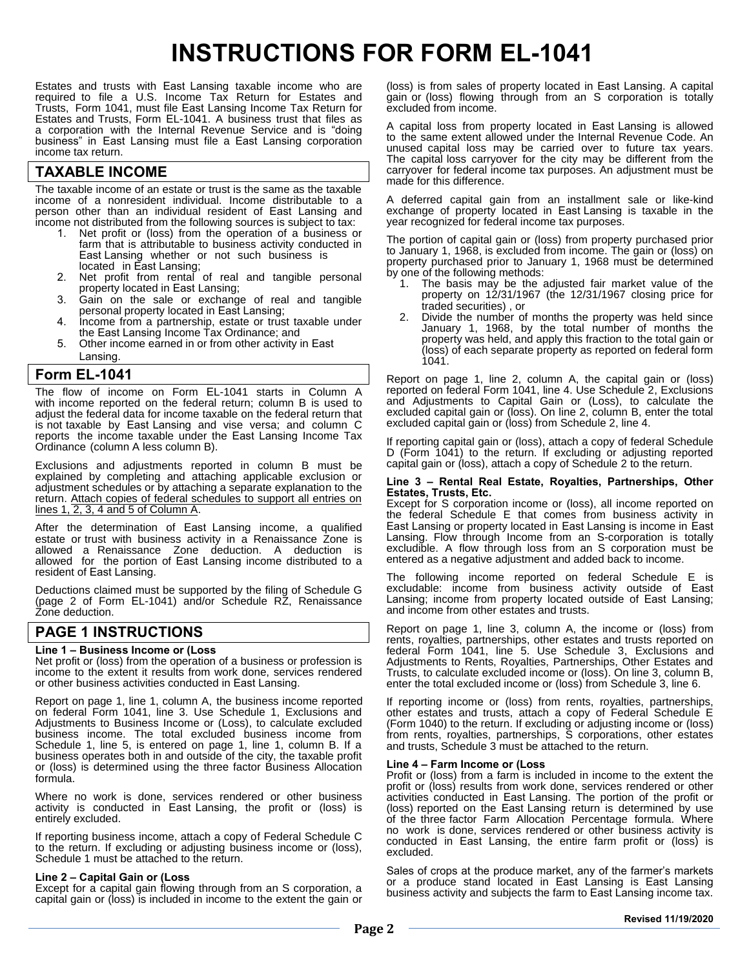# **INSTRUCTIONS FOR FORM EL-1041**

Estates and trusts with East Lansing taxable income who are required to file a U.S. Income Tax Return for Estates and Trusts, Form 1041, must file East Lansing Income Tax Return for Estates and Trusts, Form EL-1041. A business trust that files as a corporation with the Internal Revenue Service and is "doing business" in East Lansing must file a East Lansing corporation income tax return.

# **TAXABLE INCOME**

The taxable income of an estate or trust is the same as the taxable income of a nonresident individual. Income distributable to a person other than an individual resident of East Lansing and income not distributed from the following sources is subject to tax:

- 1. Net profit or (loss) from the operation of a business or farm that is attributable to business activity conducted in East Lansing whether or not such business is located in East Lansing;
- 2. Net profit from rental of real and tangible personal property located in East Lansing;
- 3. Gain on the sale or exchange of real and tangible personal property located in East Lansing;
- 4. Income from a partnership, estate or trust taxable under the East Lansing Income Tax Ordinance; and
- 5. Other income earned in or from other activity in East Lansing.

## **Form EL-1041**

The flow of income on Form EL-1041 starts in Column A with income reported on the federal return; column B is used to adjust the federal data for income taxable on the federal return that is not taxable by East Lansing and vise versa; and column C reports the income taxable under the East Lansing Income Tax Ordinance (column A less column B).

Exclusions and adjustments reported in column B must be explained by completing and attaching applicable exclusion or adjustment schedules or by attaching a separate explanation to the return. Attach copies of federal schedules to support all entries on lines 1, 2, 3, 4 and 5 of Column A.

After the determination of East Lansing income, a qualified estate or trust with business activity in a Renaissance Zone is allowed a Renaissance Zone deduction. A deduction is allowed for the portion of East Lansing income distributed to a resident of East Lansing.

Deductions claimed must be supported by the filing of Schedule G (page 2 of Form EL-1041) and/or Schedule RZ, Renaissance Zone deduction.

# **PAGE 1 INSTRUCTIONS**

## **Line 1 – Business Income or (Loss**

Net profit or (loss) from the operation of a business or profession is income to the extent it results from work done, services rendered or other business activities conducted in East Lansing.

Report on page 1, line 1, column A, the business income reported on federal Form 1041, line 3. Use Schedule 1, Exclusions and Adjustments to Business Income or (Loss), to calculate excluded business income. The total excluded business income from Schedule 1, line 5, is entered on page 1, line 1, column B. If a business operates both in and outside of the city, the taxable profit or (loss) is determined using the three factor Business Allocation formula.

Where no work is done, services rendered or other business activity is conducted in East Lansing, the profit or (loss) is entirely excluded.

If reporting business income, attach a copy of Federal Schedule C to the return. If excluding or adjusting business income or (loss), Schedule 1 must be attached to the return.

## **Line 2 – Capital Gain or (Loss**

Except for a capital gain flowing through from an S corporation, a capital gain or (loss) is included in income to the extent the gain or (loss) is from sales of property located in East Lansing. A capital gain or (loss) flowing through from an S corporation is totally excluded from income.

A capital loss from property located in East Lansing is allowed to the same extent allowed under the Internal Revenue Code. An unused capital loss may be carried over to future tax years. The capital loss carryover for the city may be different from the carryover for federal income tax purposes. An adjustment must be made for this difference.

A deferred capital gain from an installment sale or like-kind exchange of property located in East Lansing is taxable in the year recognized for federal income tax purposes.

The portion of capital gain or (loss) from property purchased prior to January 1, 2019, is excluded from income. The gain or (loss) on property purchased prior to January 1, 2019 must be determined by one of the following methods:

- 1. The basis may be the adjusted fair market value of the property on 12/31/2018 (the 12/31/2018 closing price for traded securities) , or
- 2. Divide the number of months the property was held since January 1, 2019, by the total number of months the property was held, and apply this fraction to the total gain or (loss) of each separate property as reported on federal form 1041.

Report on page 1, line 2, column A, the capital gain or (loss) reported on federal Form 1041, line 4. Use Schedule 2, Exclusions and Adjustments to Capital Gain or (Loss), to calculate the excluded capital gain or (loss). On line 2, column B, enter the total excluded capital gain or (loss) from Schedule 2, line 4.

If reporting capital gain or (loss), attach a copy of federal Schedule D (Form 1041) to the return. If excluding or adjusting reported capital gain or (loss), attach a copy of Schedule 2 to the return.

#### **Line 3 – Rental Real Estate, Royalties, Partnerships, Other Estates, Trusts, Etc.**

Except for S corporation income or (loss), all income reported on the federal Schedule E that comes from business activity in East Lansing or property located in East Lansing is income in East Lansing. Flow through Income from an S-corporation is totally excludible. A flow through loss from an S corporation must be entered as a negative adjustment and added back to income.

The following income reported on federal Schedule E is excludable: income from business activity outside of East Lansing; income from property located outside of East Lansing; and income from other estates and trusts.

Report on page 1, line 3, column A, the income or (loss) from rents, royalties, partnerships, other estates and trusts reported on federal Form 1041, line 5. Use Schedule 3, Exclusions and Adjustments to Rents, Royalties, Partnerships, Other Estates and Trusts, to calculate excluded income or (loss). On line 3, column B, enter the total excluded income or (loss) from Schedule 3, line 6.

If reporting income or (loss) from rents, royalties, partnerships, other estates and trusts, attach a copy of Federal Schedule E (Form 1040) to the return. If excluding or adjusting income or (loss) from rents, royalties, partnerships, S corporations, other estates and trusts, Schedule 3 must be attached to the return.

#### **Line 4 – Farm Income or (Loss**

Profit or (loss) from a farm is included in income to the extent the profit or (loss) results from work done, services rendered or other activities conducted in East Lansing. The portion of the profit or (loss) reported on the East Lansing return is determined by use of the three factor Farm Allocation Percentage formula. Where no work is done, services rendered or other business activity is conducted in East Lansing, the entire farm profit or (loss) is excluded.

Sales of crops at the produce market, any of the farmer's markets or a produce stand located in East Lansing is East Lansing business activity and subjects the farm to East Lansing income tax.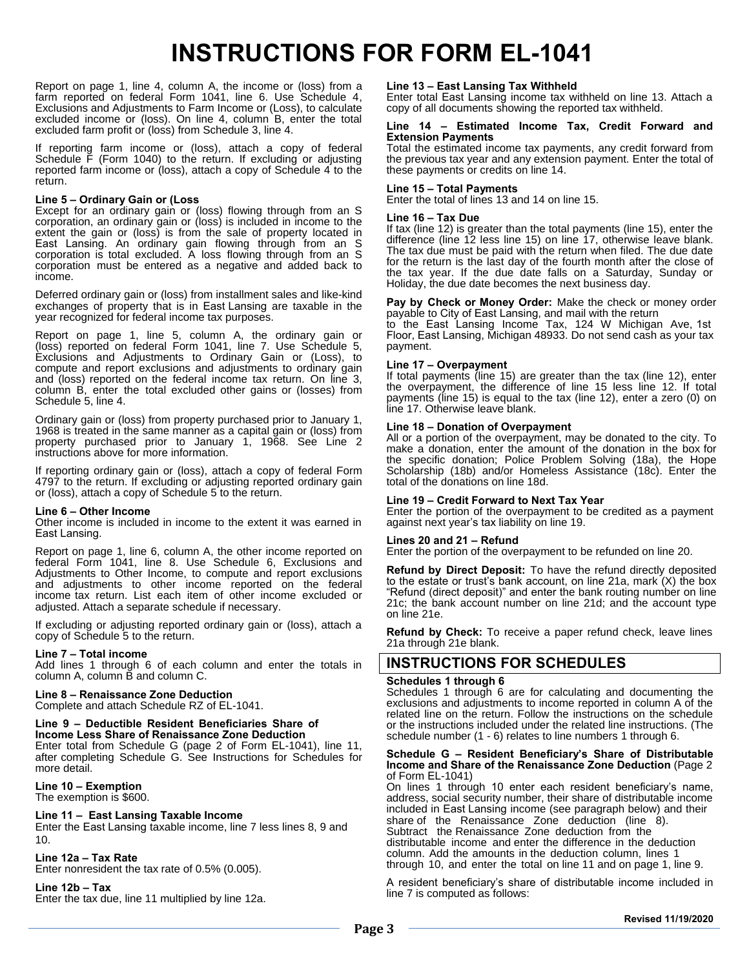# **INSTRUCTIONS FOR FORM EL-1041**

Report on page 1, line 4, column A, the income or (loss) from a farm reported on federal Form 1041, line 6. Use Schedule 4, Exclusions and Adjustments to Farm Income or (Loss), to calculate excluded income or (loss). On line 4, column B, enter the total excluded farm profit or (loss) from Schedule 3, line 4.

If reporting farm income or (loss), attach a copy of federal Schedule F (Form 1040) to the return. If excluding or adjusting reported farm income or (loss), attach a copy of Schedule 4 to the return.

#### **Line 5 – Ordinary Gain or (Loss**

Except for an ordinary gain or (loss) flowing through from an S corporation, an ordinary gain or (loss) is included in income to the extent the gain or (loss) is from the sale of property located in East Lansing. An ordinary gain flowing through from an S corporation is total excluded. A loss flowing through from an S corporation must be entered as a negative and added back to income.

Deferred ordinary gain or (loss) from installment sales and like-kind exchanges of property that is in East Lansing are taxable in the year recognized for federal income tax purposes.

Report on page 1, line 5, column A, the ordinary gain or (loss) reported on federal Form 1041, line 7. Use Schedule 5, Exclusions and Adjustments to Ordinary Gain or (Loss), to compute and report exclusions and adjustments to ordinary gain and (loss) reported on the federal income tax return. On line 3, column B, enter the total excluded other gains or (losses) from Schedule 5, line 4.

Ordinary gain or (loss) from property purchased prior to January 1, 2019 is treated in the same manner as a capital gain or (loss) from property purchased prior to January 1, 2019. See Line 2 instructions above for more information.

If reporting ordinary gain or (loss), attach a copy of federal Form 4797 to the return. If excluding or adjusting reported ordinary gain or (loss), attach a copy of Schedule 5 to the return.

#### **Line 6 – Other Income**

Other income is included in income to the extent it was earned in East Lansing.

Report on page 1, line 6, column A, the other income reported on federal Form 1041, line 8. Use Schedule 6, Exclusions and Adjustments to Other Income, to compute and report exclusions and adjustments to other income reported on the federal income tax return. List each item of other income excluded or adjusted. Attach a separate schedule if necessary.

If excluding or adjusting reported ordinary gain or (loss), attach a copy of Schedule 5 to the return.

#### **Line 7 – Total income**

Add lines 1 through 6 of each column and enter the totals in column A, column B and column C.

**Line 8 – Renaissance Zone Deduction**  Does not apply to East Lansing.

**Line 9 – Deductible Resident Beneficiaries Share of Income Less Share of Renaissance Zone Deduction**  Does not apply to East Lansing.

**Line 10 – Exemption**  The exemption is \$600.

## **Line 11 – East Lansing Taxable Income**

Enter the East Lansing taxable income, line 7 less lines 8, 9 and 10.

#### **Line 12a – Tax Rate**  Enter nonresident the tax rate of 0.5% (0.005).

**Line 12b – Tax** 

Enter the tax due, line 11 multiplied by line 12a.

#### **Line 13 – East Lansing Tax Withheld**

Enter total East Lansing income tax withheld on line 13. Attach a copy of all documents showing the reported tax withheld.

#### **Line 14 – Estimated Income Tax, Credit Forward and Extension Payments**

Total the estimated income tax payments, any credit forward from the previous tax year and any extension payment. Enter the total of these payments or credits on line 14.

#### **Line 15 – Total Payments**

Enter the total of lines 13 and 14 on line 15.

#### **Line 16 – Tax Due**

If tax (line 12) is greater than the total payments (line 15), enter the difference (line 12 less line 15) on line 17, otherwise leave blank. The tax due must be paid with the return when filed. The due date for the return is the last day of the fourth month after the close of the tax year. If the due date falls on a Saturday, Sunday or Holiday, the due date becomes the next business day.

**Pay by Check or Money Order:** Make the check or money order payable to City of East Lansing, and mail with the return

to the East Lansing Income Tax, 124 W Michigan Ave, 1st Floor, East Lansing, Michigan 48933. Do not send cash as your tax payment.

## **Line 17 – Overpayment**

If total payments (line 15) are greater than the tax (line 12), enter the overpayment, the difference of line 15 less line 12. If total payments (line 15) is equal to the tax (line 12), enter a zero (0) on line 17. Otherwise leave blank.

#### **Line 18 – Donation of Overpayment**

All or a portion of the overpayment, may be donated to the city. To make a donation, enter the amount of the donation in the box for the specific donation; Police Problem Solving (18a), the Hope Scholarship (18b) and/or Homeless Assistance (18c). Enter the total of the donations on line 18d.

#### **Line 19 – Credit Forward to Next Tax Year**

Enter the portion of the overpayment to be credited as a payment against next year's tax liability on line 19.

#### **Lines 20 and 21 – Refund**

Enter the portion of the overpayment to be refunded on line 20.

**Refund by Direct Deposit:** To have the refund directly deposited to the estate or trust's bank account, on line 21a, mark (X) the box "Refund (direct deposit)" and enter the bank routing number on line 21c; the bank account number on line 21d; and the account type on line 21e.

**Refund by Check:** To receive a paper refund check, leave lines 21a through 21e blank.

# **INSTRUCTIONS FOR SCHEDULES**

#### **Schedules 1 through 6**

Schedules 1 through 6 are for calculating and documenting the exclusions and adjustments to income reported in column A of the related line on the return. Follow the instructions on the schedule or the instructions included under the related line instructions. (The schedule number (1 - 6) relates to line numbers 1 through 6.

**Schedule G – Resident Beneficiary's Share of Distributable Income and Share of the Renaissance Zone Deduction**  Does not apply to East Lansing.